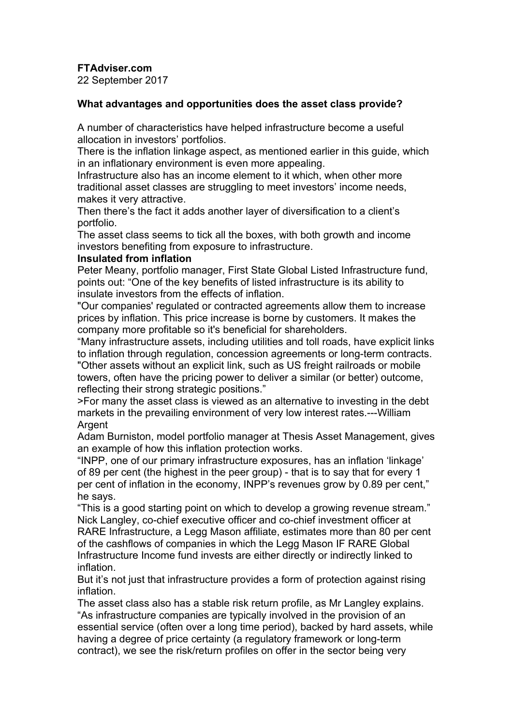**FTAdviser.com**

22 September 2017

## **What advantages and opportunities does the asset class provide?**

A number of characteristics have helped infrastructure become a useful allocation in investors' portfolios.

There is the inflation linkage aspect, as mentioned earlier in this guide, which in an inflationary environment is even more appealing.

Infrastructure also has an income element to it which, when other more traditional asset classes are struggling to meet investors' income needs, makes it very attractive.

Then there's the fact it adds another layer of diversification to a client's portfolio.

The asset class seems to tick all the boxes, with both growth and income investors benefiting from exposure to infrastructure.

## **Insulated from inflation**

Peter Meany, portfolio manager, First State Global Listed Infrastructure fund, points out: "One of the key benefits of listed infrastructure is its ability to insulate investors from the effects of inflation.

"Our companies' regulated or contracted agreements allow them to increase prices by inflation. This price increase is borne by customers. It makes the company more profitable so it's beneficial for shareholders.

"Many infrastructure assets, including utilities and toll roads, have explicit links to inflation through regulation, concession agreements or long-term contracts. "Other assets without an explicit link, such as US freight railroads or mobile towers, often have the pricing power to deliver a similar (or better) outcome, reflecting their strong strategic positions."

>For many the asset class is viewed as an alternative to investing in the debt markets in the prevailing environment of very low interest rates.---William **Argent** 

Adam Burniston, model portfolio manager at Thesis Asset Management, gives an example of how this inflation protection works.

"INPP, one of our primary infrastructure exposures, has an inflation 'linkage' of 89 per cent (the highest in the peer group) - that is to say that for every 1 per cent of inflation in the economy, INPP's revenues grow by 0.89 per cent," he says.

"This is a good starting point on which to develop a growing revenue stream." Nick Langley, co-chief executive officer and co-chief investment officer at RARE Infrastructure, a Legg Mason affiliate, estimates more than 80 per cent of the cashflows of companies in which the Legg Mason IF RARE Global Infrastructure Income fund invests are either directly or indirectly linked to inflation.

But it's not just that infrastructure provides a form of protection against rising inflation.

The asset class also has a stable risk return profile, as Mr Langley explains. "As infrastructure companies are typically involved in the provision of an essential service (often over a long time period), backed by hard assets, while having a degree of price certainty (a regulatory framework or long-term contract), we see the risk/return profiles on offer in the sector being very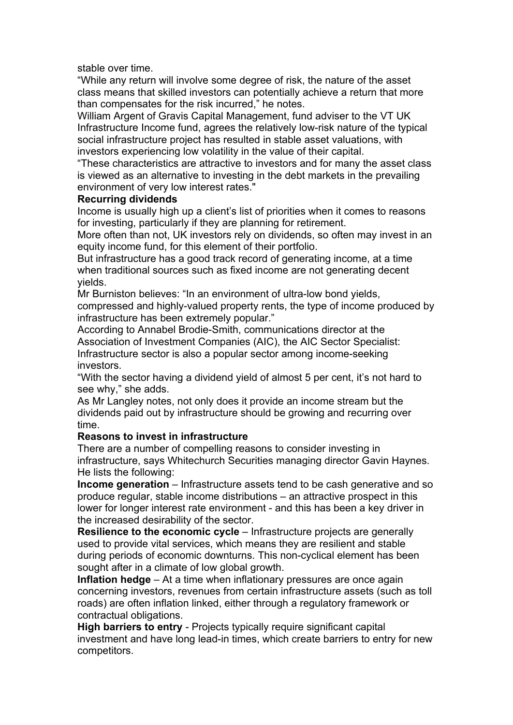stable over time.

"While any return will involve some degree of risk, the nature of the asset class means that skilled investors can potentially achieve a return that more than compensates for the risk incurred," he notes.

William Argent of Gravis Capital Management, fund adviser to the VT UK Infrastructure Income fund, agrees the relatively low-risk nature of the typical social infrastructure project has resulted in stable asset valuations, with investors experiencing low volatility in the value of their capital.

"These characteristics are attractive to investors and for many the asset class is viewed as an alternative to investing in the debt markets in the prevailing environment of very low interest rates."

## **Recurring dividends**

Income is usually high up a client's list of priorities when it comes to reasons for investing, particularly if they are planning for retirement.

More often than not, UK investors rely on dividends, so often may invest in an equity income fund, for this element of their portfolio.

But infrastructure has a good track record of generating income, at a time when traditional sources such as fixed income are not generating decent yields.

Mr Burniston believes: "In an environment of ultra-low bond yields, compressed and highly-valued property rents, the type of income produced by infrastructure has been extremely popular."

According to Annabel Brodie-Smith, communications director at the Association of Investment Companies (AIC), the AIC Sector Specialist: Infrastructure sector is also a popular sector among income-seeking investors.

"With the sector having a dividend yield of almost 5 per cent, it's not hard to see why," she adds.

As Mr Langley notes, not only does it provide an income stream but the dividends paid out by infrastructure should be growing and recurring over time.

## **Reasons to invest in infrastructure**

There are a number of compelling reasons to consider investing in infrastructure, says Whitechurch Securities managing director Gavin Haynes. He lists the following:

**Income generation** – Infrastructure assets tend to be cash generative and so produce regular, stable income distributions – an attractive prospect in this lower for longer interest rate environment - and this has been a key driver in the increased desirability of the sector.

**Resilience to the economic cycle** – Infrastructure projects are generally used to provide vital services, which means they are resilient and stable during periods of economic downturns. This non-cyclical element has been sought after in a climate of low global growth.

**Inflation hedge** – At a time when inflationary pressures are once again concerning investors, revenues from certain infrastructure assets (such as toll roads) are often inflation linked, either through a regulatory framework or contractual obligations.

**High barriers to entry** - Projects typically require significant capital investment and have long lead-in times, which create barriers to entry for new competitors.